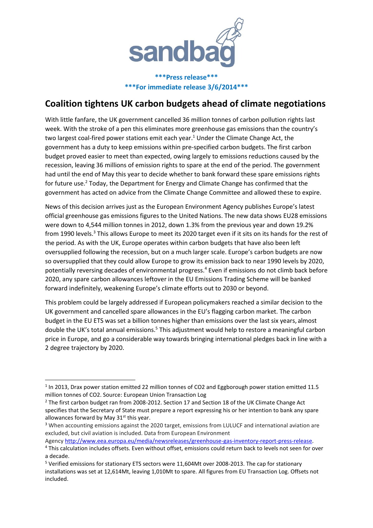

**\*\*\*Press release\*\*\* \*\*\*For immediate release 3/6/2014\*\*\***

# **Coalition tightens UK carbon budgets ahead of climate negotiations**

With little fanfare, the UK government cancelled 36 million tonnes of carbon pollution rights last week. With the stroke of a pen this eliminates more greenhouse gas emissions than the country's two largest coal-fired power stations emit each year. <sup>1</sup> Under the Climate Change Act, the government has a duty to keep emissions within pre-specified carbon budgets. The first carbon budget proved easier to meet than expected, owing largely to emissions reductions caused by the recession, leaving 36 millions of emission rights to spare at the end of the period. The government had until the end of May this year to decide whether to bank forward these spare emissions rights for future use.<sup>2</sup> Today, the Department for Energy and Climate Change has confirmed that the government has acted on advice from the Climate Change Committee and allowed these to expire.

News of this decision arrives just as the European Environment Agency publishes Europe's latest official greenhouse gas emissions figures to the United Nations. The new data shows EU28 emissions were down to 4,544 million tonnes in 2012, down 1.3% from the previous year and down 19.2% from 1990 levels.<sup>3</sup> This allows Europe to meet its 2020 target even if it sits on its hands for the rest of the period. As with the UK, Europe operates within carbon budgets that have also been left oversupplied following the recession, but on a much larger scale. Europe's carbon budgets are now so oversupplied that they could allow Europe to grow its emission back to near 1990 levels by 2020, potentially reversing decades of environmental progress.<sup>4</sup> Even if emissions do not climb back before 2020, any spare carbon allowances leftover in the EU Emissions Trading Scheme will be banked forward indefinitely, weakening Europe's climate efforts out to 2030 or beyond.

This problem could be largely addressed if European policymakers reached a similar decision to the UK government and cancelled spare allowances in the EU's flagging carbon market. The carbon budget in the EU ETS was set a billion tonnes higher than emissions over the last six years, almost double the UK's total annual emissions.<sup>5</sup> This adjustment would help to restore a meaningful carbon price in Europe, and go a considerable way towards bringing international pledges back in line with a 2 degree trajectory by 2020.

1

Agency [http://www.eea.europa.eu/media/newsreleases/greenhouse-gas-inventory-report-press-release.](http://www.eea.europa.eu/media/newsreleases/greenhouse-gas-inventory-report-press-release)

<sup>&</sup>lt;sup>1</sup> In 2013, Drax power station emitted 22 million tonnes of CO2 and Eggborough power station emitted 11.5 million tonnes of CO2. Source: European Union Transaction Log

<sup>&</sup>lt;sup>2</sup> The first carbon budget ran from 2008-2012. Section 17 and Section 18 of the UK Climate Change Act specifies that the Secretary of State must prepare a report expressing his or her intention to bank any spare allowances forward by May  $31<sup>st</sup>$  this year.

<sup>&</sup>lt;sup>3</sup> When accounting emissions against the 2020 target, emissions from LULUCF and international aviation are excluded, but civil aviation is included. Data from European Environment

<sup>4</sup> This calculation includes offsets. Even without offset, emissions could return back to levels not seen for over a decade.

<sup>5</sup> Verified emissions for stationary ETS sectors were 11,604Mt over 2008-2013. The cap for stationary installations was set at 12,614Mt, leaving 1,010Mt to spare. All figures from EU Transaction Log. Offsets not included.